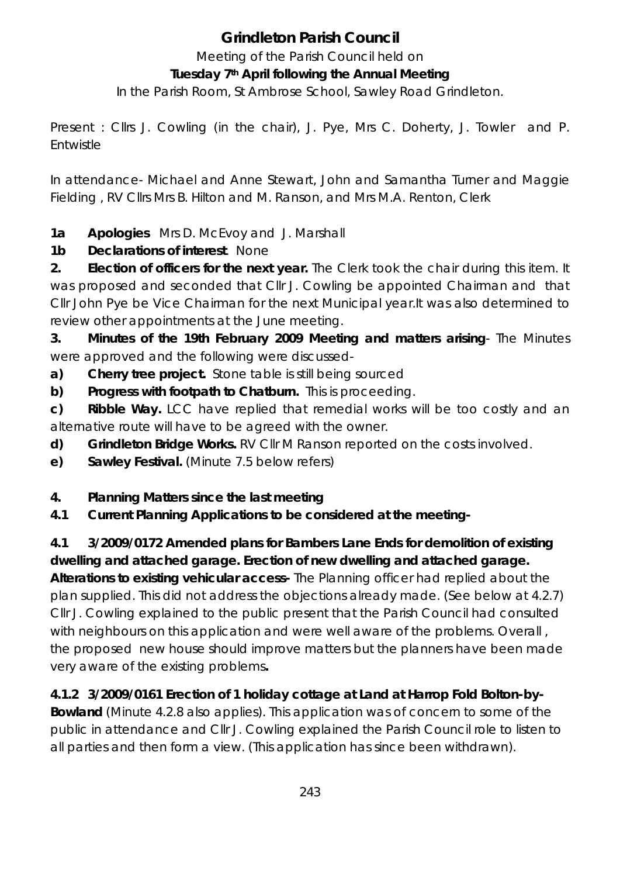# **Grindleton Parish Council**

Meeting of the Parish Council held on

#### **Tuesday 7th April following the Annual Meeting**

In the Parish Room, St Ambrose School, Sawley Road Grindleton.

Present : Cllrs J. Cowling (in the chair), J. Pye, Mrs C. Doherty, J. Towler and P. Entwistle

In attendance- Michael and Anne Stewart, John and Samantha Turner and Maggie Fielding , RV Cllrs Mrs B. Hilton and M. Ranson, and Mrs M.A. Renton, Clerk

**1a Apologies** Mrs D. McEvoy and J. Marshall

**1b Declarations of interest**. None

**2. Election of officers for the next year.** The Clerk took the chair during this item. It was proposed and seconded that Cllr J. Cowling be appointed Chairman and that Cllr John Pye be Vice Chairman for the next Municipal year.It was also determined to review other appointments at the June meeting.

**3. Minutes of the 19th February 2009 Meeting and matters arising**- The Minutes were approved and the following were discussed-

**a) Cherry tree project.** Stone table is still being sourced

**b) Progress with footpath to Chatburn.** This is proceeding.

**c) Ribble Way.** LCC have replied that remedial works will be too costly and an alternative route will have to be agreed with the owner.

- **d) Grindleton Bridge Works.** RV Cllr M Ranson reported on the costs involved.
- **e) Sawley Festival.** (Minute 7.5 below refers)
- **4. Planning Matters since the last meeting**
- **4.1 Current Planning Applications to be considered at the meeting-**

# **4.1 3/2009/0172 Amended plans for Bambers Lane Ends for demolition of existing dwelling and attached garage. Erection of new dwelling and attached garage.**

**Alterations to existing vehicular access-** The Planning officer had replied about the plan supplied. This did not address the objections already made. (See below at 4.2.7) Cllr J. Cowling explained to the public present that the Parish Council had consulted with neighbours on this application and were well aware of the problems. Overall , the proposed new house should improve matters but the planners have been made very aware of the existing problems**.** 

## **4.1.2 3/2009/0161 Erection of 1 holiday cottage at Land at Harrop Fold Bolton-by-**

**Bowland** (Minute 4.2.8 also applies). This application was of concern to some of the public in attendance and Cllr J. Cowling explained the Parish Council role to listen to all parties and then form a view. (*This application has since been withdrawn).*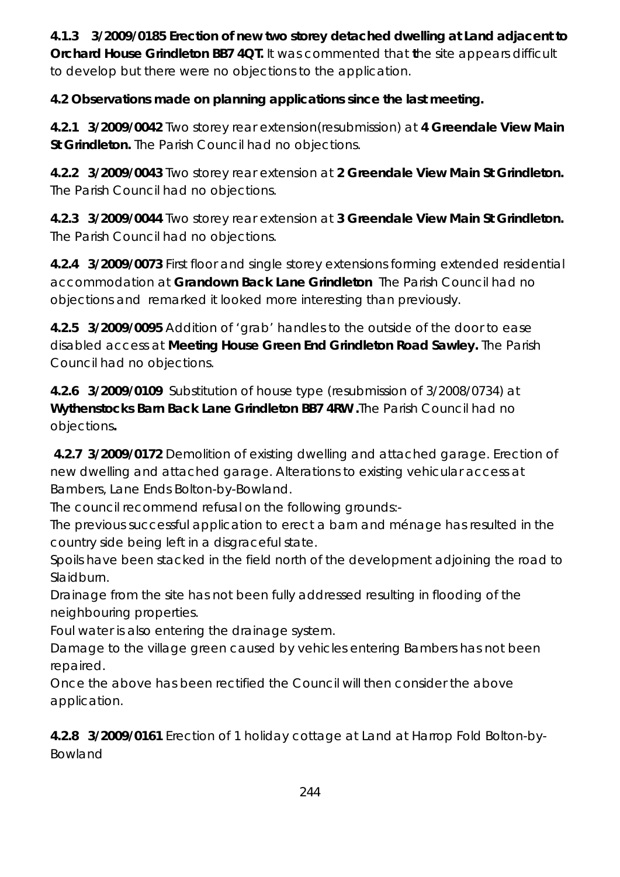**4.1.3 3/2009/0185 Erection of new two storey detached dwelling at Land adjacent to Orchard House Grindleton BB7 4QT.** It was commented that **t**he site appears difficult to develop but there were no objections to the application.

**4.2 Observations made on planning applications since the last meeting.** 

**4.2.1 3/2009/0042** Two storey rear extension(resubmission) at **4 Greendale View Main St Grindleton.** The Parish Council had no objections.

**4.2.2 3/2009/0043** Two storey rear extension at **2 Greendale View Main St Grindleton.**  The Parish Council had no objections.

**4.2.3 3/2009/0044** Two storey rear extension at **3 Greendale View Main St Grindleton.**  The Parish Council had no objections.

**4.2.4 3/2009/0073** First floor and single storey extensions forming extended residential accommodation at **Grandown Back Lane Grindleton** The Parish Council had no objections and remarked it looked more interesting than previously.

**4.2.5 3/2009/0095** Addition of 'grab' handles to the outside of the door to ease disabled access at **Meeting House Green End Grindleton Road Sawley.** The Parish Council had no objections.

**4.2.6 3/2009/0109** Substitution of house type (resubmission of 3/2008/0734) at **Wythenstocks Barn Back Lane Grindleton BB7 4RW .**The Parish Council had no objections**.** 

 **4.2.7 3/2009/0172** Demolition of existing dwelling and attached garage. Erection of new dwelling and attached garage. Alterations to existing vehicular access at Bambers, Lane Ends Bolton-by-Bowland.

The council recommend refusal on the following grounds:-

The previous successful application to erect a barn and ménage has resulted in the country side being left in a disgraceful state.

Spoils have been stacked in the field north of the development adjoining the road to Slaidburn.

Drainage from the site has not been fully addressed resulting in flooding of the neighbouring properties.

Foul water is also entering the drainage system.

Damage to the village green caused by vehicles entering Bambers has not been repaired.

Once the above has been rectified the Council will then consider the above application.

**4.2.8 3/2009/0161** Erection of 1 holiday cottage at Land at Harrop Fold Bolton-by-Bowland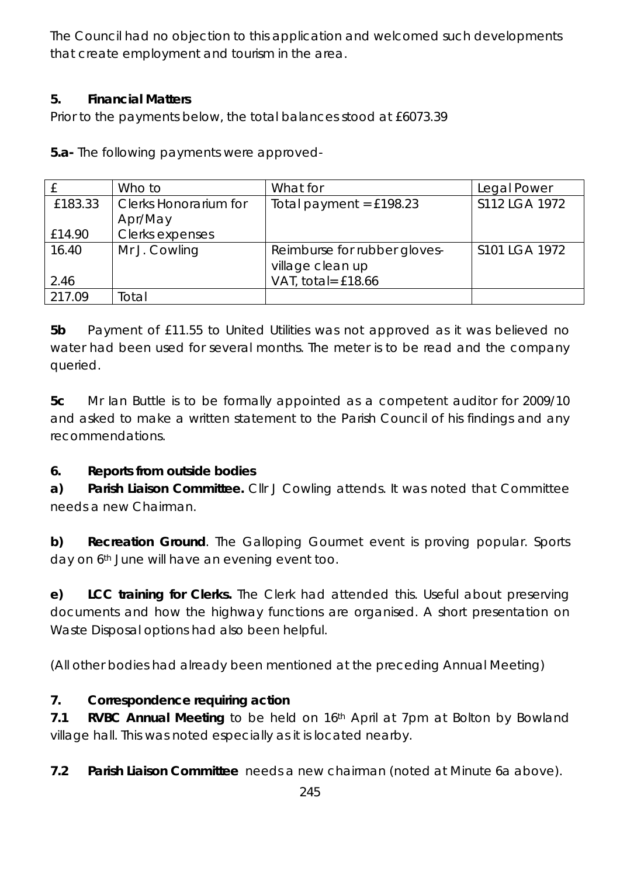The Council had no objection to this application and welcomed such developments that create employment and tourism in the area.

#### **5. Financial Matters**

Prior to the payments below, the total balances stood at £6073.39

**5.a-** The following payments were approved-

|         | Who to                       | What for                     | Legal Power   |
|---------|------------------------------|------------------------------|---------------|
| £183.33 | <b>Clerks Honorarium for</b> | Total payment = $£198.23$    | S112 LGA 1972 |
|         | Apr/May                      |                              |               |
| £14.90  | Clerks expenses              |                              |               |
| 16.40   | Mr J. Cowling                | Reimburse for rubber gloves- | S101 LGA 1972 |
|         |                              | village clean up             |               |
| 2.46    |                              | VAT, total= £18.66           |               |
| 217.09  | Total                        |                              |               |

**5b** Payment of £11.55 to United Utilities was not approved as it was believed no water had been used for several months. The meter is to be read and the company queried.

**5c** Mr Ian Buttle is to be formally appointed as a competent auditor for 2009/10 and asked to make a written statement to the Parish Council of his findings and any recommendations.

#### **6. Reports from outside bodies**

**a) Parish Liaison Committee.** Cllr J Cowling attends. It was noted that Committee needs a new Chairman.

**b) Recreation Ground**. The Galloping Gourmet event is proving popular. Sports day on 6<sup>th</sup> June will have an evening event too.

**e) LCC training for Clerks.** The Clerk had attended this. Useful about preserving documents and how the highway functions are organised. A short presentation on Waste Disposal options had also been helpful.

(All other bodies had already been mentioned at the preceding Annual Meeting)

#### **7. Correspondence requiring action**

**7.1 RVBC Annual Meeting** to be held on 16th April at 7pm at Bolton by Bowland village hall. This was noted especially as it is located nearby.

**7.2 Parish Liaison Committee** needs a new chairman (noted at Minute 6a above).